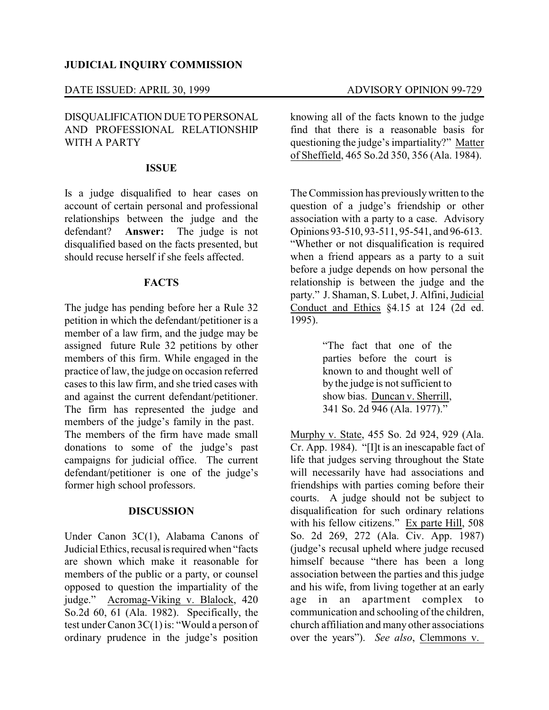#### DATE ISSUED: APRIL 30, 1999 ADVISORY OPINION 99-729

## DISQUALIFICATIONDUE TO PERSONAL AND PROFESSIONAL RELATIONSHIP WITH A PARTY

### **ISSUE**

Is a judge disqualified to hear cases on account of certain personal and professional relationships between the judge and the defendant? **Answer:** The judge is not disqualified based on the facts presented, but should recuse herself if she feels affected.

### **FACTS**

The judge has pending before her a Rule 32 petition in which the defendant/petitioner is a member of a law firm, and the judge may be assigned future Rule 32 petitions by other members of this firm. While engaged in the practice of law, the judge on occasion referred cases to this law firm, and she tried cases with and against the current defendant/petitioner. The firm has represented the judge and members of the judge's family in the past. The members of the firm have made small donations to some of the judge's past campaigns for judicial office. The current defendant/petitioner is one of the judge's former high school professors.

#### **DISCUSSION**

Under Canon 3C(1), Alabama Canons of Judicial Ethics, recusal is required when "facts" are shown which make it reasonable for members of the public or a party, or counsel opposed to question the impartiality of the judge." Acromag-Viking v. Blalock, 420 So.2d 60, 61 (Ala. 1982). Specifically, the test under Canon 3C(1) is: "Would a person of ordinary prudence in the judge's position

knowing all of the facts known to the judge find that there is a reasonable basis for questioning the judge's impartiality?" Matter of Sheffield, 465 So.2d 350, 356 (Ala. 1984).

The Commission has previouslywritten to the question of a judge's friendship or other association with a party to a case. Advisory Opinions 93-510, 93-511, 95-541, and 96-613. "Whether or not disqualification is required when a friend appears as a party to a suit before a judge depends on how personal the relationship is between the judge and the party." J. Shaman, S. Lubet, J. Alfini, Judicial Conduct and Ethics §4.15 at 124 (2d ed. 1995).

> "The fact that one of the parties before the court is known to and thought well of by the judge is not sufficient to show bias. Duncan v. Sherrill, 341 So. 2d 946 (Ala. 1977)."

Murphy v. State, 455 So. 2d 924, 929 (Ala. Cr. App. 1984). "[I]t is an inescapable fact of life that judges serving throughout the State will necessarily have had associations and friendships with parties coming before their courts. A judge should not be subject to disqualification for such ordinary relations with his fellow citizens." Ex parte Hill, 508 So. 2d 269, 272 (Ala. Civ. App. 1987) (judge's recusal upheld where judge recused himself because "there has been a long association between the parties and this judge and his wife, from living together at an early age in an apartment complex to communication and schooling of the children, church affiliation and many other associations over the years"). *See also*, Clemmons v.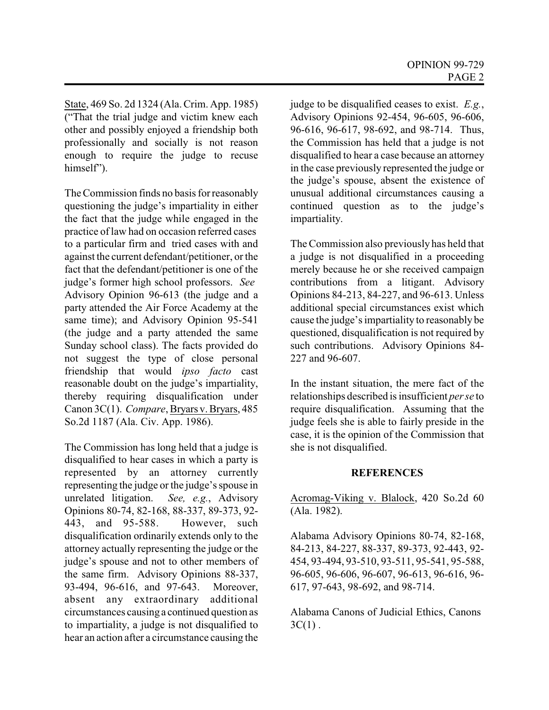State, 469 So. 2d 1324 (Ala. Crim. App. 1985) ("That the trial judge and victim knew each other and possibly enjoyed a friendship both professionally and socially is not reason enough to require the judge to recuse himself").

The Commission finds no basis for reasonably questioning the judge's impartiality in either the fact that the judge while engaged in the practice of law had on occasion referred cases to a particular firm and tried cases with and against the current defendant/petitioner, or the fact that the defendant/petitioner is one of the judge's former high school professors. *See* Advisory Opinion 96-613 (the judge and a party attended the Air Force Academy at the same time); and Advisory Opinion 95-541 (the judge and a party attended the same Sunday school class). The facts provided do not suggest the type of close personal friendship that would *ipso facto* cast reasonable doubt on the judge's impartiality, thereby requiring disqualification under Canon 3C(1). *Compare*, Bryars v. Bryars, 485 So.2d 1187 (Ala. Civ. App. 1986).

The Commission has long held that a judge is disqualified to hear cases in which a party is represented by an attorney currently representing the judge or the judge's spouse in<br>unrelated litigation. See, e.g., Advisory See, e.g., Advisory. Opinions 80-74, 82-168, 88-337, 89-373, 92- 443, and 95-588. However, such disqualification ordinarily extends only to the attorney actually representing the judge or the judge's spouse and not to other members of the same firm. Advisory Opinions 88-337, 93-494, 96-616, and 97-643. Moreover, absent any extraordinary additional circumstances causing a continued question as to impartiality, a judge is not disqualified to hear an action after a circumstance causing the

judge to be disqualified ceases to exist. *E.g.*, Advisory Opinions 92-454, 96-605, 96-606, 96-616, 96-617, 98-692, and 98-714. Thus, the Commission has held that a judge is not disqualified to hear a case because an attorney in the case previously represented the judge or the judge's spouse, absent the existence of unusual additional circumstances causing a continued question as to the judge's impartiality.

The Commission also previously has held that a judge is not disqualified in a proceeding merely because he or she received campaign contributions from a litigant. Advisory Opinions 84-213, 84-227, and 96-613. Unless additional special circumstances exist which cause the judge's impartiality to reasonably be questioned, disqualification is not required by such contributions. Advisory Opinions 84- 227 and 96-607.

In the instant situation, the mere fact of the relationships described is insufficient *per se* to require disqualification. Assuming that the judge feels she is able to fairly preside in the case, it is the opinion of the Commission that she is not disqualified.

# **REFERENCES**

Acromag-Viking v. Blalock, 420 So.2d 60 (Ala. 1982).

Alabama Advisory Opinions 80-74, 82-168, 84-213, 84-227, 88-337, 89-373, 92-443, 92- 454, 93-494, 93-510, 93-511, 95-541, 95-588, 96-605, 96-606, 96-607, 96-613, 96-616, 96- 617, 97-643, 98-692, and 98-714.

Alabama Canons of Judicial Ethics, Canons  $3C(1)$ .